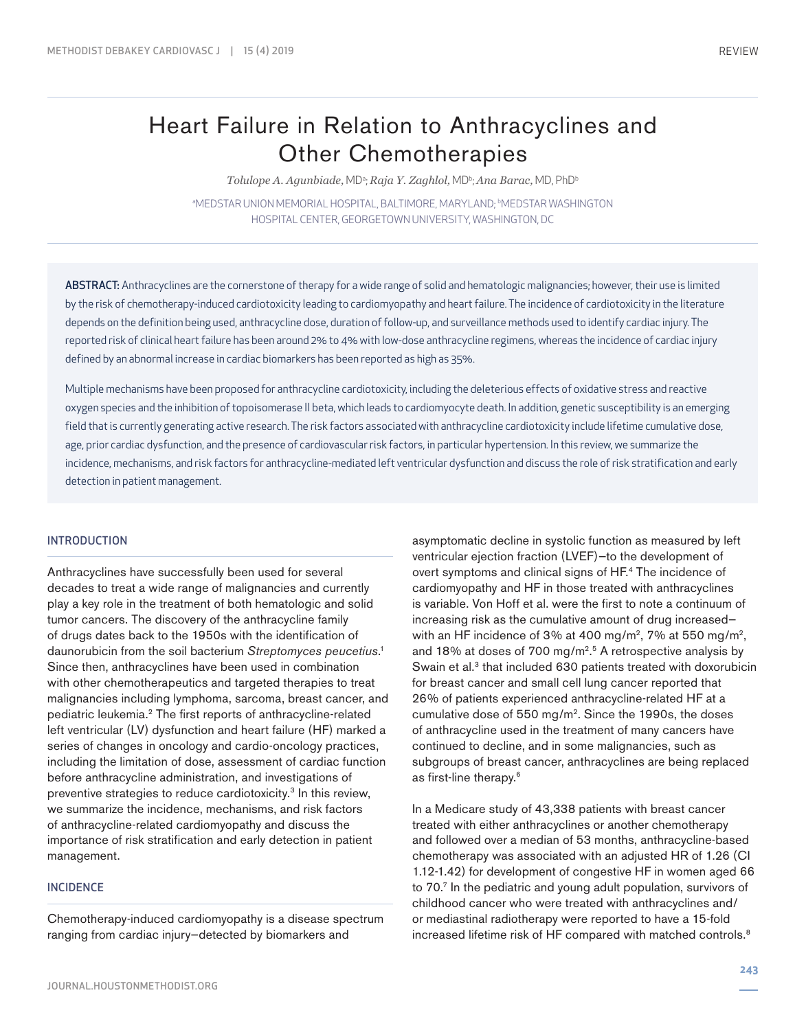# Heart Failure in Relation to Anthracyclines and Other Chemotherapies

 $T$ olulope A. Agunbiade, MDª; Raja Y. Zaghlol, MDʰ; Ana Barac, MD, PhDʰ

®MEDSTAR UNION MEMORIAL HOSPITAL, BALTIMORE, MARYLAND; ®MEDSTAR WASHINGTON HOSPITAL CENTER, GEORGETOWN UNIVERSITY, WASHINGTON, DC

ABSTRACT: Anthracyclines are the cornerstone of therapy for a wide range of solid and hematologic malignancies; however, their use is limited by the risk of chemotherapy-induced cardiotoxicity leading to cardiomyopathy and heart failure. The incidence of cardiotoxicity in the literature depends on the definition being used, anthracycline dose, duration of follow-up, and surveillance methods used to identify cardiac injury. The reported risk of clinical heart failure has been around 2% to 4% with low-dose anthracycline regimens, whereas the incidence of cardiac injury defined by an abnormal increase in cardiac biomarkers has been reported as high as 35%.

Multiple mechanisms have been proposed for anthracycline cardiotoxicity, including the deleterious effects of oxidative stress and reactive oxygen species and the inhibition of topoisomerase II beta, which leads to cardiomyocyte death. In addition, genetic susceptibility is an emerging field that is currently generating active research. The risk factors associated with anthracycline cardiotoxicity include lifetime cumulative dose, age, prior cardiac dysfunction, and the presence of cardiovascular risk factors, in particular hypertension. In this review, we summarize the incidence, mechanisms, and risk factors for anthracycline-mediated left ventricular dysfunction and discuss the role of risk stratification and early detection in patient management.

### INTRODUCTION

Anthracyclines have successfully been used for several decades to treat a wide range of malignancies and currently play a key role in the treatment of both hematologic and solid tumor cancers. The discovery of the anthracycline family of drugs dates back to the 1950s with the identification of daunorubicin from the soil bacterium *Streptomyces peucetius*. 1 Since then, anthracyclines have been used in combination with other chemotherapeutics and targeted therapies to treat malignancies including lymphoma, sarcoma, breast cancer, and pediatric leukemia.2 The first reports of anthracycline-related left ventricular (LV) dysfunction and heart failure (HF) marked a series of changes in oncology and cardio-oncology practices, including the limitation of dose, assessment of cardiac function before anthracycline administration, and investigations of preventive strategies to reduce cardiotoxicity.3 In this review, we summarize the incidence, mechanisms, and risk factors of anthracycline-related cardiomyopathy and discuss the importance of risk stratification and early detection in patient management.

### INCIDENCE

Chemotherapy-induced cardiomyopathy is a disease spectrum ranging from cardiac injury—detected by biomarkers and

asymptomatic decline in systolic function as measured by left ventricular ejection fraction (LVEF)—to the development of overt symptoms and clinical signs of HF.4 The incidence of cardiomyopathy and HF in those treated with anthracyclines is variable. Von Hoff et al. were the first to note a continuum of increasing risk as the cumulative amount of drug increased with an HF incidence of 3% at 400 mg/m<sup>2</sup>, 7% at 550 mg/m<sup>2</sup>, and 18% at doses of 700 mg/m2. 5 A retrospective analysis by Swain et al.<sup>3</sup> that included 630 patients treated with doxorubicin for breast cancer and small cell lung cancer reported that 26% of patients experienced anthracycline-related HF at a cumulative dose of 550 mg/m2. Since the 1990s, the doses of anthracycline used in the treatment of many cancers have continued to decline, and in some malignancies, such as subgroups of breast cancer, anthracyclines are being replaced as first-line therapy.6

In a Medicare study of 43,338 patients with breast cancer treated with either anthracyclines or another chemotherapy and followed over a median of 53 months, anthracycline-based chemotherapy was associated with an adjusted HR of 1.26 (CI 1.12-1.42) for development of congestive HF in women aged 66 to 70.7 In the pediatric and young adult population, survivors of childhood cancer who were treated with anthracyclines and/ or mediastinal radiotherapy were reported to have a 15-fold increased lifetime risk of HF compared with matched controls.8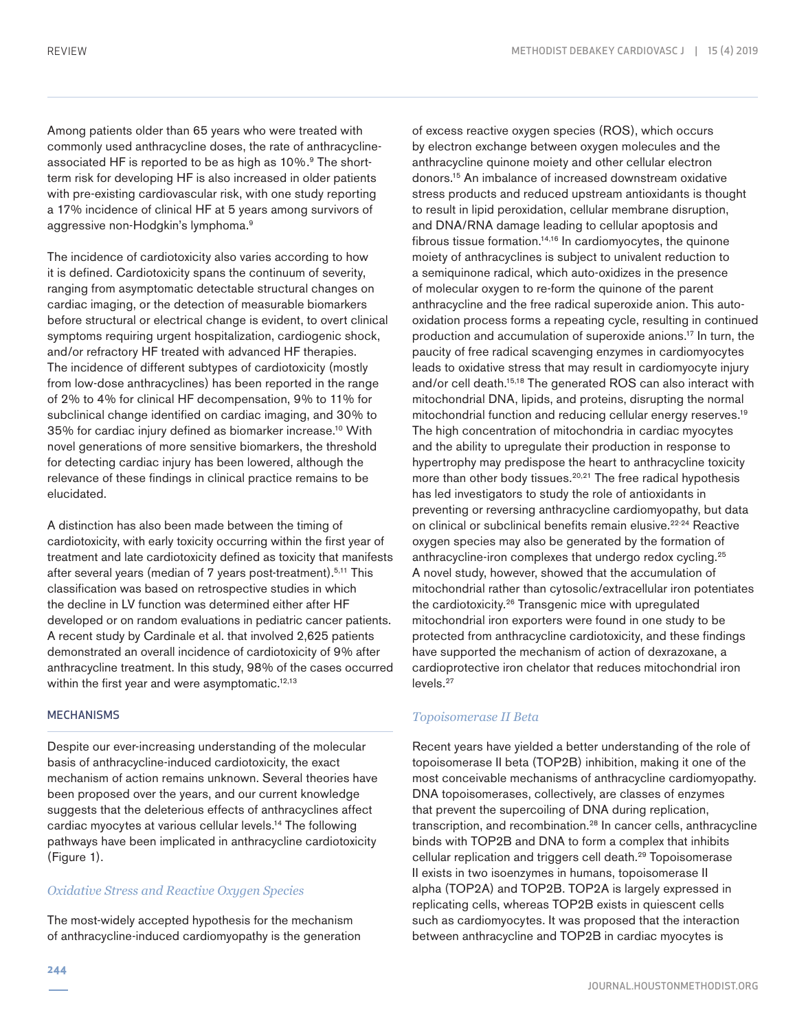Among patients older than 65 years who were treated with commonly used anthracycline doses, the rate of anthracyclineassociated HF is reported to be as high as 10%.<sup>9</sup> The shortterm risk for developing HF is also increased in older patients with pre-existing cardiovascular risk, with one study reporting a 17% incidence of clinical HF at 5 years among survivors of aggressive non-Hodgkin's lymphoma.9

The incidence of cardiotoxicity also varies according to how it is defined. Cardiotoxicity spans the continuum of severity, ranging from asymptomatic detectable structural changes on cardiac imaging, or the detection of measurable biomarkers before structural or electrical change is evident, to overt clinical symptoms requiring urgent hospitalization, cardiogenic shock, and/or refractory HF treated with advanced HF therapies. The incidence of different subtypes of cardiotoxicity (mostly from low-dose anthracyclines) has been reported in the range of 2% to 4% for clinical HF decompensation, 9% to 11% for subclinical change identified on cardiac imaging, and 30% to 35% for cardiac injury defined as biomarker increase.10 With novel generations of more sensitive biomarkers, the threshold for detecting cardiac injury has been lowered, although the relevance of these findings in clinical practice remains to be elucidated.

A distinction has also been made between the timing of cardiotoxicity, with early toxicity occurring within the first year of treatment and late cardiotoxicity defined as toxicity that manifests after several years (median of 7 years post-treatment).5,11 This classification was based on retrospective studies in which the decline in LV function was determined either after HF developed or on random evaluations in pediatric cancer patients. A recent study by Cardinale et al. that involved 2,625 patients demonstrated an overall incidence of cardiotoxicity of 9% after anthracycline treatment. In this study, 98% of the cases occurred within the first year and were asymptomatic.<sup>12,13</sup>

## **MECHANISMS**

Despite our ever-increasing understanding of the molecular basis of anthracycline-induced cardiotoxicity, the exact mechanism of action remains unknown. Several theories have been proposed over the years, and our current knowledge suggests that the deleterious effects of anthracyclines affect cardiac myocytes at various cellular levels.14 The following pathways have been implicated in anthracycline cardiotoxicity (Figure 1).

# *Oxidative Stress and Reactive Oxygen Species*

The most-widely accepted hypothesis for the mechanism of anthracycline-induced cardiomyopathy is the generation by electron exchange between oxygen molecules and the anthracycline quinone moiety and other cellular electron donors.15 An imbalance of increased downstream oxidative stress products and reduced upstream antioxidants is thought to result in lipid peroxidation, cellular membrane disruption, and DNA/RNA damage leading to cellular apoptosis and fibrous tissue formation. $14,16$  In cardiomyocytes, the quinone moiety of anthracyclines is subject to univalent reduction to a semiquinone radical, which auto-oxidizes in the presence of molecular oxygen to re-form the quinone of the parent anthracycline and the free radical superoxide anion. This autooxidation process forms a repeating cycle, resulting in continued production and accumulation of superoxide anions.17 In turn, the paucity of free radical scavenging enzymes in cardiomyocytes leads to oxidative stress that may result in cardiomyocyte injury and/or cell death.15,18 The generated ROS can also interact with mitochondrial DNA, lipids, and proteins, disrupting the normal mitochondrial function and reducing cellular energy reserves.19 The high concentration of mitochondria in cardiac myocytes and the ability to upregulate their production in response to hypertrophy may predispose the heart to anthracycline toxicity more than other body tissues. $20,21$  The free radical hypothesis has led investigators to study the role of antioxidants in preventing or reversing anthracycline cardiomyopathy, but data on clinical or subclinical benefits remain elusive.<sup>22-24</sup> Reactive oxygen species may also be generated by the formation of anthracycline-iron complexes that undergo redox cycling.25 A novel study, however, showed that the accumulation of mitochondrial rather than cytosolic/extracellular iron potentiates the cardiotoxicity.26 Transgenic mice with upregulated mitochondrial iron exporters were found in one study to be protected from anthracycline cardiotoxicity, and these findings have supported the mechanism of action of dexrazoxane, a cardioprotective iron chelator that reduces mitochondrial iron levels.<sup>27</sup>

of excess reactive oxygen species (ROS), which occurs

### *Topoisomerase II Beta*

Recent years have yielded a better understanding of the role of topoisomerase II beta (TOP2B) inhibition, making it one of the most conceivable mechanisms of anthracycline cardiomyopathy. DNA topoisomerases, collectively, are classes of enzymes that prevent the supercoiling of DNA during replication, transcription, and recombination.28 In cancer cells, anthracycline binds with TOP2B and DNA to form a complex that inhibits cellular replication and triggers cell death.<sup>29</sup> Topoisomerase II exists in two isoenzymes in humans, topoisomerase II alpha (TOP2A) and TOP2B. TOP2A is largely expressed in replicating cells, whereas TOP2B exists in quiescent cells such as cardiomyocytes. It was proposed that the interaction between anthracycline and TOP2B in cardiac myocytes is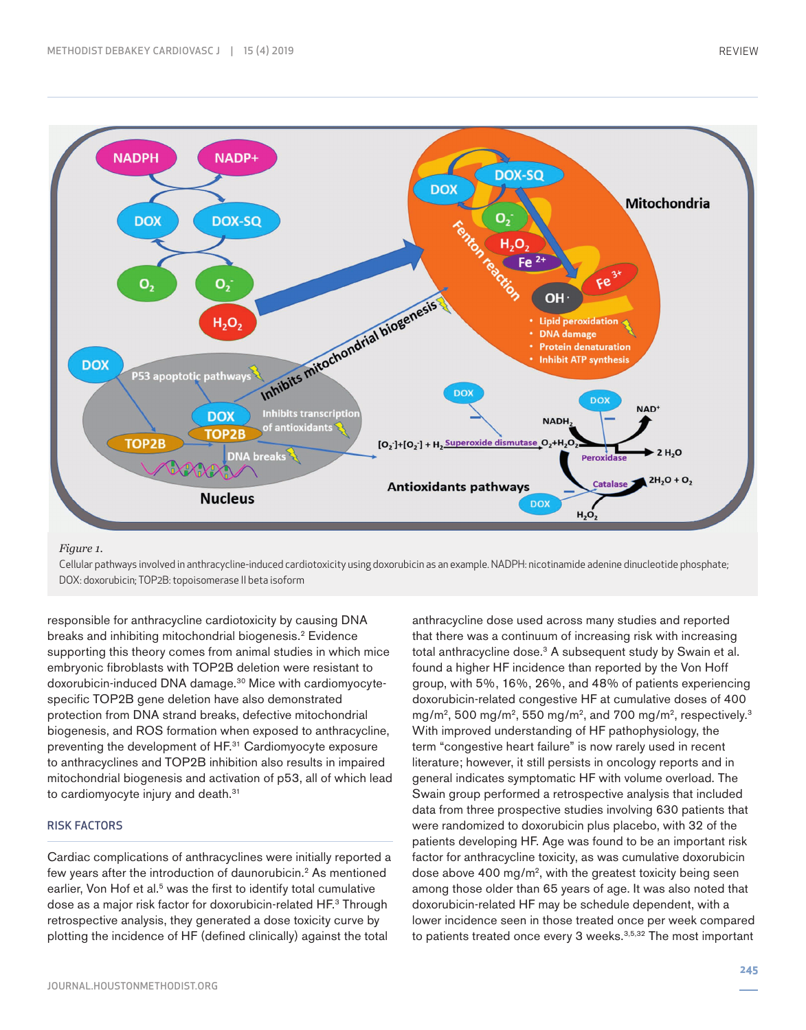

#### *Figure 1.*

Cellular pathways involved in anthracycline-induced cardiotoxicity using doxorubicin as an example. NADPH: nicotinamide adenine dinucleotide phosphate; DOX: doxorubicin; TOP2B: topoisomerase II beta isoform

responsible for anthracycline cardiotoxicity by causing DNA breaks and inhibiting mitochondrial biogenesis.<sup>2</sup> Evidence supporting this theory comes from animal studies in which mice embryonic fibroblasts with TOP2B deletion were resistant to doxorubicin-induced DNA damage.30 Mice with cardiomyocytespecific TOP2B gene deletion have also demonstrated protection from DNA strand breaks, defective mitochondrial biogenesis, and ROS formation when exposed to anthracycline, preventing the development of HF.31 Cardiomyocyte exposure to anthracyclines and TOP2B inhibition also results in impaired mitochondrial biogenesis and activation of p53, all of which lead to cardiomyocyte injury and death.<sup>31</sup>

# RISK FACTORS

Cardiac complications of anthracyclines were initially reported a few years after the introduction of daunorubicin.<sup>2</sup> As mentioned earlier, Von Hof et al.<sup>5</sup> was the first to identify total cumulative dose as a major risk factor for doxorubicin-related HF.3 Through retrospective analysis, they generated a dose toxicity curve by plotting the incidence of HF (defined clinically) against the total

anthracycline dose used across many studies and reported that there was a continuum of increasing risk with increasing total anthracycline dose.<sup>3</sup> A subsequent study by Swain et al. found a higher HF incidence than reported by the Von Hoff group, with 5%, 16%, 26%, and 48% of patients experiencing doxorubicin-related congestive HF at cumulative doses of 400 mg/m<sup>2</sup>, 500 mg/m<sup>2</sup>, 550 mg/m<sup>2</sup>, and 700 mg/m<sup>2</sup>, respectively.<sup>3</sup> With improved understanding of HF pathophysiology, the term "congestive heart failure" is now rarely used in recent literature; however, it still persists in oncology reports and in general indicates symptomatic HF with volume overload. The Swain group performed a retrospective analysis that included data from three prospective studies involving 630 patients that were randomized to doxorubicin plus placebo, with 32 of the patients developing HF. Age was found to be an important risk factor for anthracycline toxicity, as was cumulative doxorubicin dose above 400 mg/m<sup>2</sup>, with the greatest toxicity being seen among those older than 65 years of age. It was also noted that doxorubicin-related HF may be schedule dependent, with a lower incidence seen in those treated once per week compared to patients treated once every 3 weeks.<sup>3,5,32</sup> The most important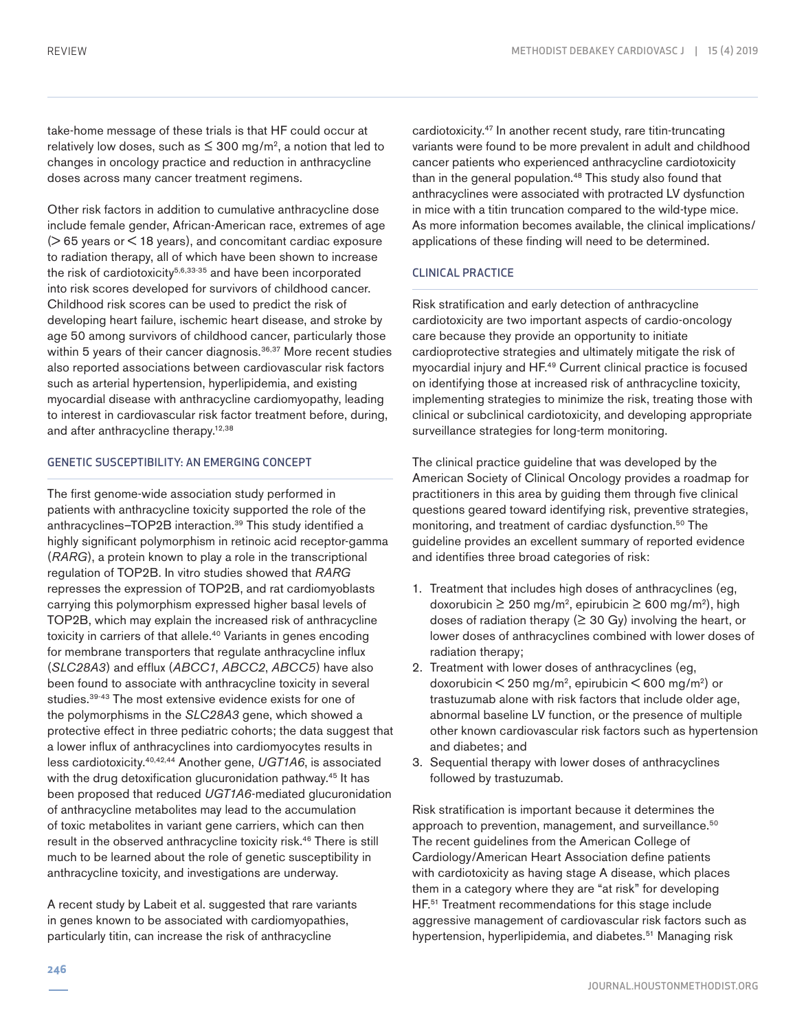take-home message of these trials is that HF could occur at relatively low doses, such as  $\leq$  300 mg/m<sup>2</sup>, a notion that led to changes in oncology practice and reduction in anthracycline doses across many cancer treatment regimens.

Other risk factors in addition to cumulative anthracycline dose include female gender, African-American race, extremes of age  $($  > 65 years or  $<$  18 years), and concomitant cardiac exposure to radiation therapy, all of which have been shown to increase the risk of cardiotoxicity<sup>5,6,33-35</sup> and have been incorporated into risk scores developed for survivors of childhood cancer. Childhood risk scores can be used to predict the risk of developing heart failure, ischemic heart disease, and stroke by age 50 among survivors of childhood cancer, particularly those within 5 years of their cancer diagnosis.<sup>36,37</sup> More recent studies also reported associations between cardiovascular risk factors such as arterial hypertension, hyperlipidemia, and existing myocardial disease with anthracycline cardiomyopathy, leading to interest in cardiovascular risk factor treatment before, during, and after anthracycline therapy.<sup>12,38</sup>

# GENETIC SUSCEPTIBILITY: AN EMERGING CONCEPT

The first genome-wide association study performed in patients with anthracycline toxicity supported the role of the anthracyclines-TOP2B interaction.<sup>39</sup> This study identified a highly significant polymorphism in retinoic acid receptor-gamma (*RARG*), a protein known to play a role in the transcriptional regulation of TOP2B. In vitro studies showed that *RARG* represses the expression of TOP2B, and rat cardiomyoblasts carrying this polymorphism expressed higher basal levels of TOP2B, which may explain the increased risk of anthracycline toxicity in carriers of that allele.40 Variants in genes encoding for membrane transporters that regulate anthracycline influx (*SLC28A3*) and efflux (*ABCC1*, *ABCC2*, *ABCC5*) have also been found to associate with anthracycline toxicity in several studies.39-43 The most extensive evidence exists for one of the polymorphisms in the *SLC28A3* gene, which showed a protective effect in three pediatric cohorts; the data suggest that a lower influx of anthracyclines into cardiomyocytes results in less cardiotoxicity.40,42,44 Another gene, *UGT1A6*, is associated with the drug detoxification glucuronidation pathway.<sup>45</sup> It has been proposed that reduced *UGT1A6*-mediated glucuronidation of anthracycline metabolites may lead to the accumulation of toxic metabolites in variant gene carriers, which can then result in the observed anthracycline toxicity risk.46 There is still much to be learned about the role of genetic susceptibility in anthracycline toxicity, and investigations are underway.

A recent study by Labeit et al. suggested that rare variants in genes known to be associated with cardiomyopathies, particularly titin, can increase the risk of anthracycline

cardiotoxicity.47 In another recent study, rare titin-truncating variants were found to be more prevalent in adult and childhood cancer patients who experienced anthracycline cardiotoxicity than in the general population.<sup>48</sup> This study also found that anthracyclines were associated with protracted LV dysfunction in mice with a titin truncation compared to the wild-type mice. As more information becomes available, the clinical implications/ applications of these finding will need to be determined.

# CLINICAL PRACTICE

Risk stratification and early detection of anthracycline cardiotoxicity are two important aspects of cardio-oncology care because they provide an opportunity to initiate cardioprotective strategies and ultimately mitigate the risk of myocardial injury and HF.49 Current clinical practice is focused on identifying those at increased risk of anthracycline toxicity, implementing strategies to minimize the risk, treating those with clinical or subclinical cardiotoxicity, and developing appropriate surveillance strategies for long-term monitoring.

The clinical practice guideline that was developed by the American Society of Clinical Oncology provides a roadmap for practitioners in this area by guiding them through five clinical questions geared toward identifying risk, preventive strategies, monitoring, and treatment of cardiac dysfunction.<sup>50</sup> The guideline provides an excellent summary of reported evidence and identifies three broad categories of risk:

- 1. Treatment that includes high doses of anthracyclines (eg, doxorubicin ≥ 250 mg/m<sup>2</sup>, epirubicin ≥ 600 mg/m<sup>2</sup>), high doses of radiation therapy ( $\geq$  30 Gy) involving the heart, or lower doses of anthracyclines combined with lower doses of radiation therapy;
- 2. Treatment with lower doses of anthracyclines (eg, doxorubicin  $\leq 250$  mg/m<sup>2</sup>, epirubicin  $\leq 600$  mg/m<sup>2</sup>) or trastuzumab alone with risk factors that include older age, abnormal baseline LV function, or the presence of multiple other known cardiovascular risk factors such as hypertension and diabetes; and
- 3. Sequential therapy with lower doses of anthracyclines followed by trastuzumab.

Risk stratification is important because it determines the approach to prevention, management, and surveillance.<sup>50</sup> The recent guidelines from the American College of Cardiology/American Heart Association define patients with cardiotoxicity as having stage A disease, which places them in a category where they are "at risk" for developing HF.<sup>51</sup> Treatment recommendations for this stage include aggressive management of cardiovascular risk factors such as hypertension, hyperlipidemia, and diabetes.<sup>51</sup> Managing risk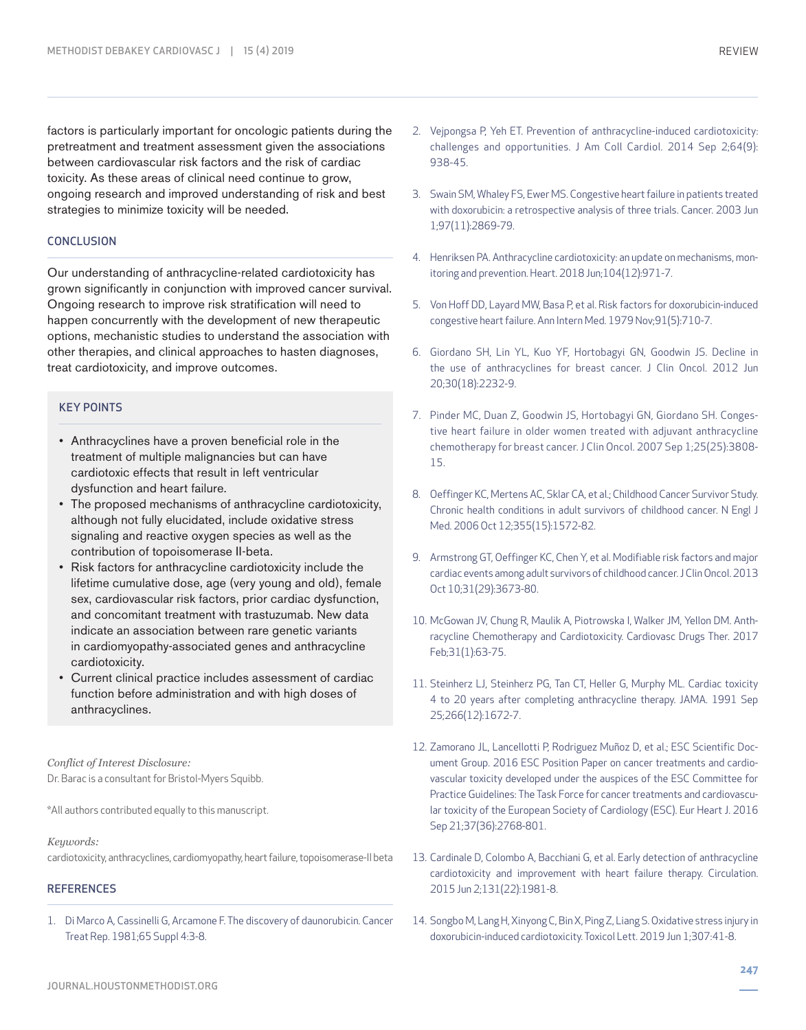factors is particularly important for oncologic patients during the pretreatment and treatment assessment given the associations between cardiovascular risk factors and the risk of cardiac toxicity. As these areas of clinical need continue to grow, ongoing research and improved understanding of risk and best strategies to minimize toxicity will be needed.

#### **CONCLUSION**

Our understanding of anthracycline-related cardiotoxicity has grown significantly in conjunction with improved cancer survival. Ongoing research to improve risk stratification will need to happen concurrently with the development of new therapeutic options, mechanistic studies to understand the association with other therapies, and clinical approaches to hasten diagnoses, treat cardiotoxicity, and improve outcomes.

# KEY POINTS

- Anthracyclines have a proven beneficial role in the treatment of multiple malignancies but can have cardiotoxic effects that result in left ventricular dysfunction and heart failure.
- The proposed mechanisms of anthracycline cardiotoxicity, although not fully elucidated, include oxidative stress signaling and reactive oxygen species as well as the contribution of topoisomerase II-beta.
- Risk factors for anthracycline cardiotoxicity include the lifetime cumulative dose, age (very young and old), female sex, cardiovascular risk factors, prior cardiac dysfunction, and concomitant treatment with trastuzumab. New data indicate an association between rare genetic variants in cardiomyopathy-associated genes and anthracycline cardiotoxicity.
- Current clinical practice includes assessment of cardiac function before administration and with high doses of anthracyclines.

*Conflict of Interest Disclosure:* Dr. Barac is a consultant for Bristol-Myers Squibb.

\*All authors contributed equally to this manuscript.

*Keywords:*

cardiotoxicity, anthracyclines, cardiomyopathy, heart failure, topoisomerase-II beta

## **REFERENCES**

1. Di Marco A, Cassinelli G, Arcamone F. The discovery of daunorubicin. Cancer Treat Rep. 1981;65 Suppl 4:3-8.

- 2. Vejpongsa P, Yeh ET. Prevention of anthracycline-induced cardiotoxicity: challenges and opportunities. J Am Coll Cardiol. 2014 Sep 2;64(9): 938-45.
- 3. Swain SM, Whaley FS, Ewer MS. Congestive heart failure in patients treated with doxorubicin: a retrospective analysis of three trials. Cancer. 2003 Jun 1;97(11):2869-79.
- 4. Henriksen PA. Anthracycline cardiotoxicity: an update on mechanisms, monitoring and prevention. Heart. 2018 Jun;104(12):971-7.
- 5. Von Hoff DD, Layard MW, Basa P, et al. Risk factors for doxorubicin-induced congestive heart failure. Ann Intern Med. 1979 Nov;91(5):710-7.
- 6. Giordano SH, Lin YL, Kuo YF, Hortobagyi GN, Goodwin JS. Decline in the use of anthracyclines for breast cancer. J Clin Oncol. 2012 Jun 20;30(18):2232-9.
- 7. Pinder MC, Duan Z, Goodwin JS, Hortobagyi GN, Giordano SH. Congestive heart failure in older women treated with adjuvant anthracycline chemotherapy for breast cancer. J Clin Oncol. 2007 Sep 1;25(25):3808- 15.
- 8. Oeffinger KC, Mertens AC, Sklar CA, et al.; Childhood Cancer Survivor Study. Chronic health conditions in adult survivors of childhood cancer. N Engl J Med. 2006 Oct 12;355(15):1572-82.
- 9. Armstrong GT, Oeffinger KC, Chen Y, et al. Modifiable risk factors and major cardiac events among adult survivors of childhood cancer. J Clin Oncol. 2013 Oct 10;31(29):3673-80.
- 10. McGowan JV, Chung R, Maulik A, Piotrowska I, Walker JM, Yellon DM. Anthracycline Chemotherapy and Cardiotoxicity. Cardiovasc Drugs Ther. 2017 Feb;31(1):63-75.
- 11. Steinherz LJ, Steinherz PG, Tan CT, Heller G, Murphy ML. Cardiac toxicity 4 to 20 years after completing anthracycline therapy. JAMA. 1991 Sep 25;266(12):1672-7.
- 12. Zamorano JL, Lancellotti P, Rodriguez Muñoz D, et al.; ESC Scientific Document Group. 2016 ESC Position Paper on cancer treatments and cardiovascular toxicity developed under the auspices of the ESC Committee for Practice Guidelines: The Task Force for cancer treatments and cardiovascular toxicity of the European Society of Cardiology (ESC). Eur Heart J. 2016 Sep 21;37(36):2768-801.
- 13. Cardinale D, Colombo A, Bacchiani G, et al. Early detection of anthracycline cardiotoxicity and improvement with heart failure therapy. Circulation. 2015 Jun 2;131(22):1981-8.
- 14. Songbo M, Lang H, Xinyong C, Bin X, Ping Z, Liang S. Oxidative stress injury in doxorubicin-induced cardiotoxicity. Toxicol Lett. 2019 Jun 1;307:41-8.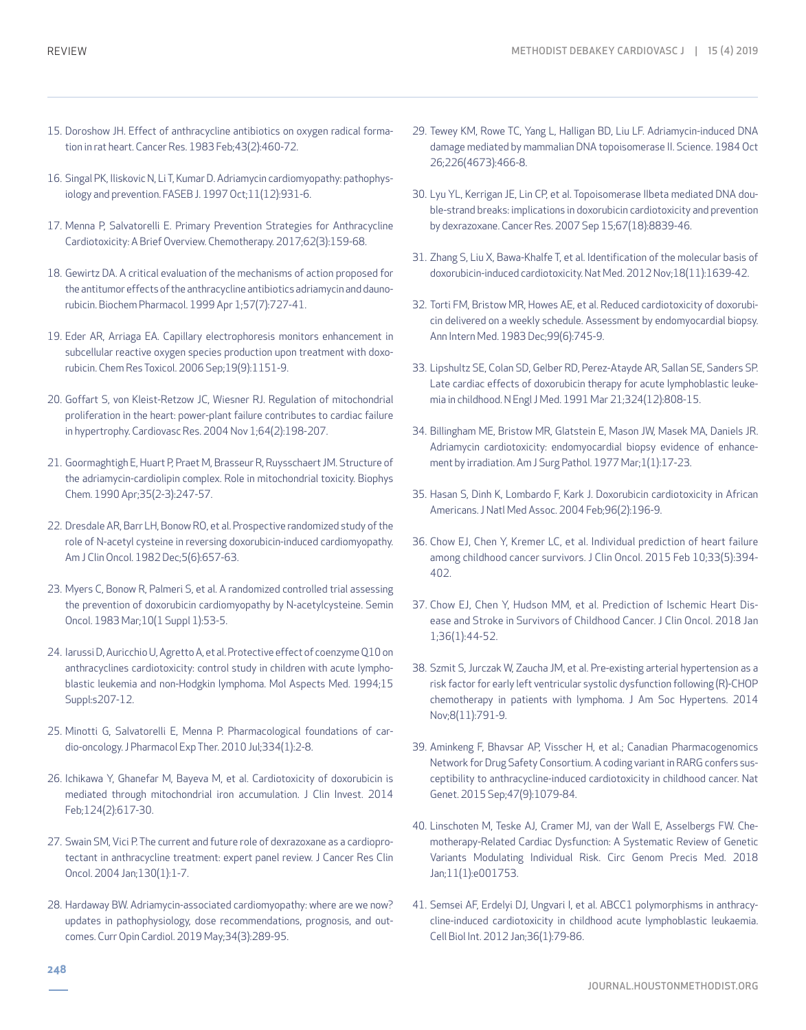- 15. Doroshow JH. Effect of anthracycline antibiotics on oxygen radical formation in rat heart. Cancer Res. 1983 Feb;43(2):460-72.
- 16. Singal PK, Iliskovic N, Li T, Kumar D. Adriamycin cardiomyopathy: pathophysiology and prevention. FASEB J. 1997 Oct;11(12):931-6.
- 17. Menna P, Salvatorelli E. Primary Prevention Strategies for Anthracycline Cardiotoxicity: A Brief Overview. Chemotherapy. 2017;62(3):159-68.
- 18. Gewirtz DA. A critical evaluation of the mechanisms of action proposed for the antitumor effects of the anthracycline antibiotics adriamycin and daunorubicin. Biochem Pharmacol. 1999 Apr 1;57(7):727-41.
- 19. Eder AR, Arriaga EA. Capillary electrophoresis monitors enhancement in subcellular reactive oxygen species production upon treatment with doxorubicin. Chem Res Toxicol. 2006 Sep;19(9):1151-9.
- 20. Goffart S, von Kleist-Retzow JC, Wiesner RJ. Regulation of mitochondrial proliferation in the heart: power-plant failure contributes to cardiac failure in hypertrophy. Cardiovasc Res. 2004 Nov 1;64(2):198-207.
- 21. Goormaghtigh E, Huart P, Praet M, Brasseur R, Ruysschaert JM. Structure of the adriamycin-cardiolipin complex. Role in mitochondrial toxicity. Biophys Chem. 1990 Apr;35(2-3):247-57.
- 22. Dresdale AR, Barr LH, Bonow RO, et al. Prospective randomized study of the role of N-acetyl cysteine in reversing doxorubicin-induced cardiomyopathy. Am J Clin Oncol. 1982 Dec;5(6):657-63.
- 23. Myers C, Bonow R, Palmeri S, et al. A randomized controlled trial assessing the prevention of doxorubicin cardiomyopathy by N-acetylcysteine. Semin Oncol. 1983 Mar;10(1 Suppl 1):53-5.
- 24. Iarussi D, Auricchio U, Agretto A, et al. Protective effect of coenzyme Q10 on anthracyclines cardiotoxicity: control study in children with acute lymphoblastic leukemia and non-Hodgkin lymphoma. Mol Aspects Med. 1994;15 Suppl:s207-12.
- 25. Minotti G, Salvatorelli E, Menna P. Pharmacological foundations of cardio-oncology. J Pharmacol Exp Ther. 2010 Jul;334(1):2-8.
- 26. Ichikawa Y, Ghanefar M, Bayeva M, et al. Cardiotoxicity of doxorubicin is mediated through mitochondrial iron accumulation. J Clin Invest. 2014 Feb;124(2):617-30.
- 27. Swain SM, Vici P. The current and future role of dexrazoxane as a cardioprotectant in anthracycline treatment: expert panel review. J Cancer Res Clin Oncol. 2004 Jan;130(1):1-7.
- 28. Hardaway BW. Adriamycin-associated cardiomyopathy: where are we now? updates in pathophysiology, dose recommendations, prognosis, and outcomes. Curr Opin Cardiol. 2019 May;34(3):289-95.
- 29. Tewey KM, Rowe TC, Yang L, Halligan BD, Liu LF. Adriamycin-induced DNA damage mediated by mammalian DNA topoisomerase II. Science. 1984 Oct 26;226(4673):466-8.
- 30. Lyu YL, Kerrigan JE, Lin CP, et al. Topoisomerase IIbeta mediated DNA double-strand breaks: implications in doxorubicin cardiotoxicity and prevention by dexrazoxane. Cancer Res. 2007 Sep 15;67(18):8839-46.
- 31. Zhang S, Liu X, Bawa-Khalfe T, et al. Identification of the molecular basis of doxorubicin-induced cardiotoxicity. Nat Med. 2012 Nov;18(11):1639-42.
- 32. Torti FM, Bristow MR, Howes AE, et al. Reduced cardiotoxicity of doxorubicin delivered on a weekly schedule. Assessment by endomyocardial biopsy. Ann Intern Med. 1983 Dec;99(6):745-9.
- 33. Lipshultz SE, Colan SD, Gelber RD, Perez-Atayde AR, Sallan SE, Sanders SP. Late cardiac effects of doxorubicin therapy for acute lymphoblastic leukemia in childhood. N Engl J Med. 1991 Mar 21;324(12):808-15.
- 34. Billingham ME, Bristow MR, Glatstein E, Mason JW, Masek MA, Daniels JR. Adriamycin cardiotoxicity: endomyocardial biopsy evidence of enhancement by irradiation. Am J Surg Pathol. 1977 Mar;1(1):17-23.
- 35. Hasan S, Dinh K, Lombardo F, Kark J. Doxorubicin cardiotoxicity in African Americans. J Natl Med Assoc. 2004 Feb;96(2):196-9.
- 36. Chow EJ, Chen Y, Kremer LC, et al. Individual prediction of heart failure among childhood cancer survivors. J Clin Oncol. 2015 Feb 10;33(5):394- 402.
- 37. Chow EJ, Chen Y, Hudson MM, et al. Prediction of Ischemic Heart Disease and Stroke in Survivors of Childhood Cancer. J Clin Oncol. 2018 Jan 1;36(1):44-52.
- 38. Szmit S, Jurczak W, Zaucha JM, et al. Pre-existing arterial hypertension as a risk factor for early left ventricular systolic dysfunction following (R)-CHOP chemotherapy in patients with lymphoma. J Am Soc Hypertens. 2014 Nov;8(11):791-9.
- 39. Aminkeng F, Bhavsar AP, Visscher H, et al.; Canadian Pharmacogenomics Network for Drug Safety Consortium. A coding variant in RARG confers susceptibility to anthracycline-induced cardiotoxicity in childhood cancer. Nat Genet. 2015 Sep;47(9):1079-84.
- 40. Linschoten M, Teske AJ, Cramer MJ, van der Wall E, Asselbergs FW. Chemotherapy-Related Cardiac Dysfunction: A Systematic Review of Genetic Variants Modulating Individual Risk. Circ Genom Precis Med. 2018 Jan;11(1):e001753.
- 41. Semsei AF, Erdelyi DJ, Ungvari I, et al. ABCC1 polymorphisms in anthracycline-induced cardiotoxicity in childhood acute lymphoblastic leukaemia. Cell Biol Int. 2012 Jan;36(1):79-86.